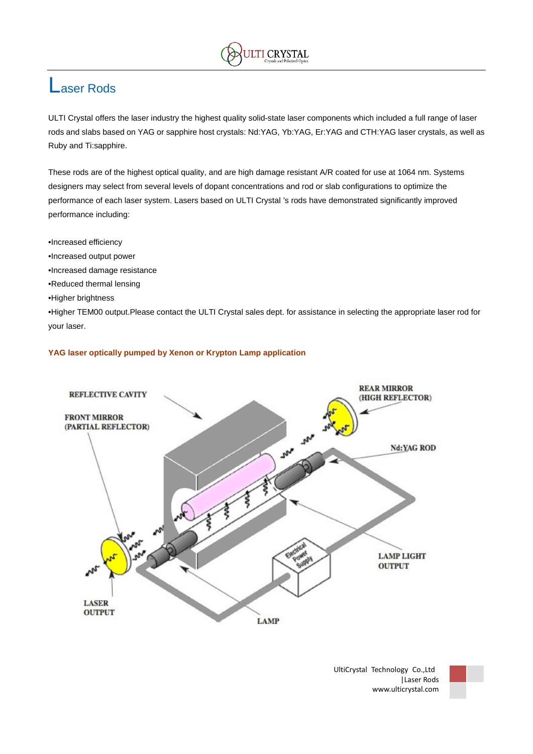

## Laser Rods

ULTI Crystal offers the laser industry the highest quality solid-state laser components which included a full range of laser rods and slabs based on YAG or sapphire host crystals: Nd:YAG, Yb:YAG, Er:YAG and CTH:YAG laser crystals, as well as Ruby and Ti:sapphire.

These rods are of the highest optical quality, and are high damage resistant A/R coated for use at 1064 nm. Systems designers may select from several levels of dopant concentrations and rod or slab configurations to optimize the performance of each laser system. Lasers based on ULTI Crystal 's rods have demonstrated significantly improved performance including:

- •Increased efficiency
- •Increased output power
- •Increased damage resistance
- •Reduced thermal lensing
- •Higher brightness

•Higher TEM00 output.Please contact the ULTI Crystal sales dept. for assistance in selecting the appropriate laser rod for your laser.

### **YAG laser optically pumped by Xenon or Krypton Lamp application**



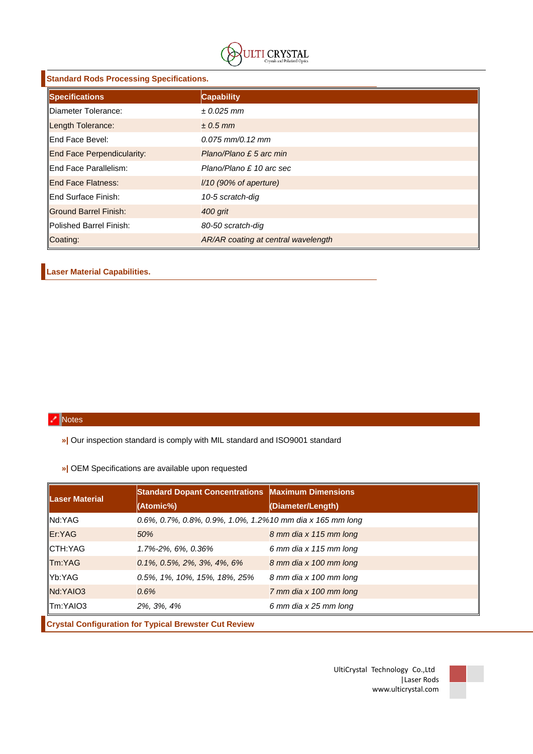

| <b>Standard Rods Processing Specifications.</b> |                                     |  |  |  |  |  |  |
|-------------------------------------------------|-------------------------------------|--|--|--|--|--|--|
| Specifications                                  | <b>Capability</b>                   |  |  |  |  |  |  |
| <b>IDiameter Tolerance:</b>                     | $± 0.025$ mm                        |  |  |  |  |  |  |
| Length Tolerance:                               | $\pm$ 0.5 mm                        |  |  |  |  |  |  |
| llEnd Face Bevel:                               | $0.075$ mm/0.12 mm                  |  |  |  |  |  |  |
| <b>End Face Perpendicularity:</b>               | Plano/Plano £ 5 arc min             |  |  |  |  |  |  |
| <b>IEnd Face Parallelism:</b>                   | Plano/Plano £ 10 arc sec            |  |  |  |  |  |  |
| <b>IEnd Face Flatness:</b>                      | $1/10$ (90% of aperture)            |  |  |  |  |  |  |
| llEnd Surface Finish:                           | 10-5 scratch-dig                    |  |  |  |  |  |  |
| <b>Ground Barrel Finish:</b>                    | 400 grit                            |  |  |  |  |  |  |
| <b>IPolished Barrel Finish:</b>                 | 80-50 scratch-dig                   |  |  |  |  |  |  |
| Coating:                                        | AR/AR coating at central wavelength |  |  |  |  |  |  |

## **Laser Material Capabilities.**

## **Notes**

**»|** Our inspection standard is comply with MIL standard and ISO9001 standard

**»|** OEM Specifications are available upon requested

| <b>Laser Material</b> | <b>Standard Dopant Concentrations Maximum Dimensions</b>  |                        |  |  |  |  |  |
|-----------------------|-----------------------------------------------------------|------------------------|--|--|--|--|--|
|                       | (Atomic%)                                                 | (Diameter/Length)      |  |  |  |  |  |
| Nd:YAG                | 0.6%, 0.7%, 0.8%, 0.9%, 1.0%, 1.2%10 mm dia x 165 mm long |                        |  |  |  |  |  |
| Er:YAG                | 50%                                                       | 8 mm dia x 115 mm long |  |  |  |  |  |
| CTH:YAG               | 1.7%-2%, 6%, 0.36%                                        | 6 mm dia x 115 mm long |  |  |  |  |  |
| Tm:YAG                | $0.1\%$ , $0.5\%$ , $2\%$ , $3\%$ , $4\%$ , $6\%$         | 8 mm dia x 100 mm long |  |  |  |  |  |
| Yb:YAG                | 0.5%, 1%, 10%, 15%, 18%, 25%                              | 8 mm dia x 100 mm long |  |  |  |  |  |
| Nd:YAIO3              | 0.6%                                                      | 7 mm dia x 100 mm long |  |  |  |  |  |
| Tm:YAIO3              | 2%, 3%, 4%                                                | 6 mm dia x 25 mm long  |  |  |  |  |  |

**Crystal Configuration for Typical Brewster Cut Review**

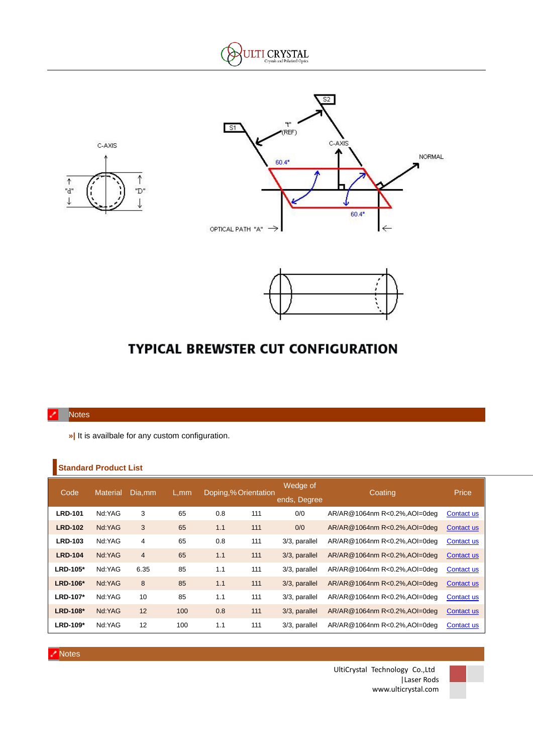







# **TYPICAL BREWSTER CUT CONFIGURATION**

#### **Notes**

**»|** It is availbale for any custom configuration.

### **Standard Product List**

| Code           | <b>Material</b> | Dia.mm         | L,mm | Doping,% Orientation |     | Wedge of<br>ends, Degree | Coating                       | Price             |
|----------------|-----------------|----------------|------|----------------------|-----|--------------------------|-------------------------------|-------------------|
| <b>LRD-101</b> | Nd:YAG          | 3              | 65   | 0.8                  | 111 | 0/0                      | AR/AR@1064nm R<0.2%, AOI=0deq | Contact us        |
| <b>LRD-102</b> | Nd:YAG          | 3              | 65   | 1.1                  | 111 | 0/0                      | AR/AR@1064nm R<0.2%, AOI=0deq | Contact us        |
| <b>LRD-103</b> | Nd:YAG          | 4              | 65   | 0.8                  | 111 | 3/3, parallel            | AR/AR@1064nm R<0.2%, AOI=0deg | Contact us        |
| <b>LRD-104</b> | Nd:YAG          | $\overline{4}$ | 65   | 1.1                  | 111 | 3/3, parallel            | AR/AR@1064nm R<0.2%, AOI=0deq | Contact us        |
| LRD-105*       | Nd:YAG          | 6.35           | 85   | 1.1                  | 111 | 3/3, parallel            | AR/AR@1064nm R<0.2%, AOI=0deq | Contact us        |
| LRD-106*       | Nd:YAG          | 8              | 85   | 1.1                  | 111 | 3/3, parallel            | AR/AR@1064nm R<0.2%, AOI=0deq | Contact us        |
| LRD-107*       | Nd:YAG          | 10             | 85   | 1.1                  | 111 | 3/3, parallel            | AR/AR@1064nm R<0.2%, AOI=0deq | Contact us        |
| LRD-108*       | Nd:YAG          | 12             | 100  | 0.8                  | 111 | 3/3, parallel            | AR/AR@1064nm R<0.2%, AOI=0deq | Contact us        |
| LRD-109*       | Nd:YAG          | 12             | 100  | 1.1                  | 111 | 3/3, parallel            | AR/AR@1064nm R<0.2%, AOI=0deq | <b>Contact us</b> |



UltiCrystal Technology Co.,Ltd |Laser Rods www.ulticrystal.com